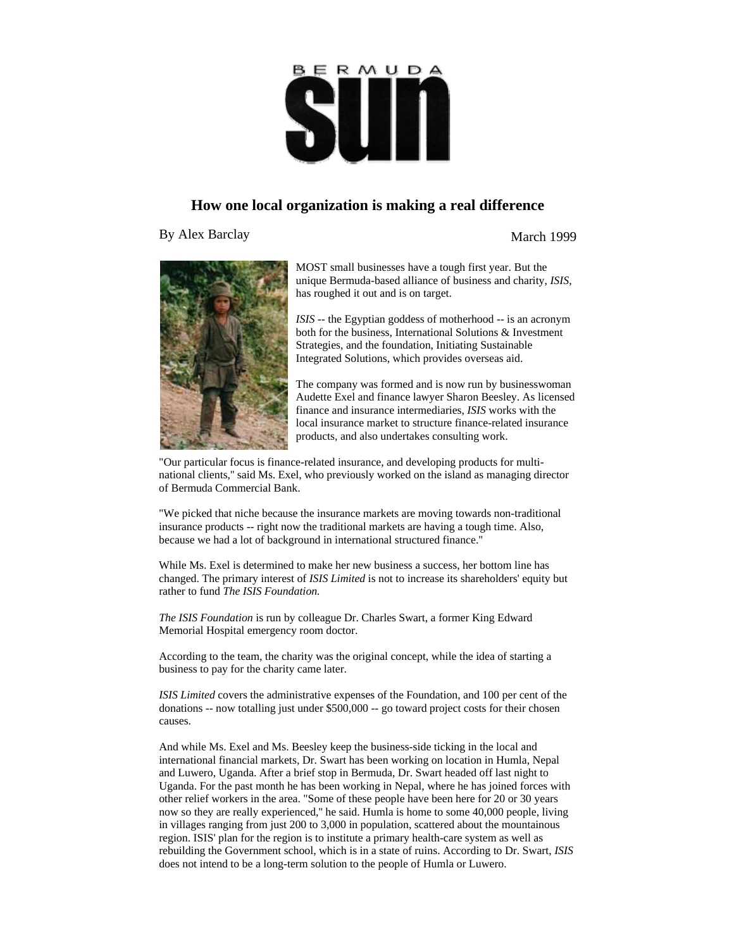## R M U D A I

## **How one local organization is making a real difference**

By Alex Barclay March 1999



MOST small businesses have a tough first year. But the unique Bermuda-based alliance of business and charity, *ISIS*, has roughed it out and is on target.

*ISIS* -- the Egyptian goddess of motherhood -- is an acronym both for the business, International Solutions & Investment Strategies, and the foundation, Initiating Sustainable Integrated Solutions, which provides overseas aid.

The company was formed and is now run by businesswoman Audette Exel and finance lawyer Sharon Beesley. As licensed finance and insurance intermediaries, *ISIS* works with the local insurance market to structure finance-related insurance products, and also undertakes consulting work.

"Our particular focus is finance-related insurance, and developing products for multinational clients,'' said Ms. Exel, who previously worked on the island as managing director of Bermuda Commercial Bank.

"We picked that niche because the insurance markets are moving towards non-traditional insurance products -- right now the traditional markets are having a tough time. Also, because we had a lot of background in international structured finance.''

While Ms. Exel is determined to make her new business a success, her bottom line has changed. The primary interest of *ISIS Limited* is not to increase its shareholders' equity but rather to fund *The ISIS Foundation.* 

*The ISIS Foundation* is run by colleague Dr. Charles Swart, a former King Edward Memorial Hospital emergency room doctor.

According to the team, the charity was the original concept, while the idea of starting a business to pay for the charity came later.

*ISIS Limited* covers the administrative expenses of the Foundation, and 100 per cent of the donations -- now totalling just under \$500,000 -- go toward project costs for their chosen causes.

And while Ms. Exel and Ms. Beesley keep the business-side ticking in the local and international financial markets, Dr. Swart has been working on location in Humla, Nepal and Luwero, Uganda. After a brief stop in Bermuda, Dr. Swart headed off last night to Uganda. For the past month he has been working in Nepal, where he has joined forces with other relief workers in the area. "Some of these people have been here for 20 or 30 years now so they are really experienced,'' he said. Humla is home to some 40,000 people, living in villages ranging from just 200 to 3,000 in population, scattered about the mountainous region. ISIS' plan for the region is to institute a primary health-care system as well as rebuilding the Government school, which is in a state of ruins. According to Dr. Swart, *ISIS* does not intend to be a long-term solution to the people of Humla or Luwero.